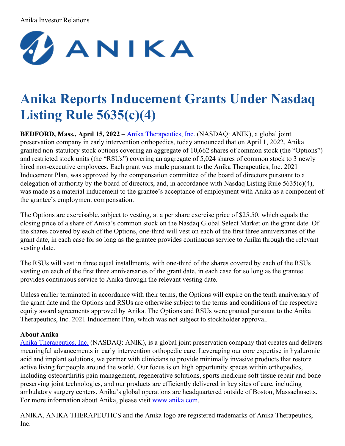## Anika Investor Relations



## **Anika Reports Inducement Grants Under Nasdaq Listing Rule 5635(c)(4)**

**BEDFORD, Mass., April 15, 2022** – Anika [Therapeutics,](http://www.anika.com/) Inc. (NASDAQ: ANIK), a global joint preservation company in early intervention orthopedics, today announced that on April 1, 2022, Anika granted non-statutory stock options covering an aggregate of 10,662 shares of common stock (the "Options") and restricted stock units (the "RSUs") covering an aggregate of 5,024 shares of common stock to 3 newly hired non-executive employees. Each grant was made pursuant to the Anika Therapeutics, Inc. 2021 Inducement Plan, was approved by the compensation committee of the board of directors pursuant to a delegation of authority by the board of directors, and, in accordance with Nasdaq Listing Rule 5635(c)(4), was made as a material inducement to the grantee's acceptance of employment with Anika as a component of the grantee's employment compensation.

The Options are exercisable, subject to vesting, at a per share exercise price of \$25.50, which equals the closing price of a share of Anika's common stock on the Nasdaq Global Select Market on the grant date. Of the shares covered by each of the Options, one-third will vest on each of the first three anniversaries of the grant date, in each case for so long as the grantee provides continuous service to Anika through the relevant vesting date.

The RSUs will vest in three equal installments, with one-third of the shares covered by each of the RSUs vesting on each of the first three anniversaries of the grant date, in each case for so long as the grantee provides continuous service to Anika through the relevant vesting date.

Unless earlier terminated in accordance with their terms, the Options will expire on the tenth anniversary of the grant date and the Options and RSUs are otherwise subject to the terms and conditions of the respective equity award agreements approved by Anika. The Options and RSUs were granted pursuant to the Anika Therapeutics, Inc. 2021 Inducement Plan, which was not subject to stockholder approval.

## **About Anika**

Anika [Therapeutics,](http://www.anika.com/) Inc. (NASDAQ: ANIK), is a global joint preservation company that creates and delivers meaningful advancements in early intervention orthopedic care. Leveraging our core expertise in hyaluronic acid and implant solutions, we partner with clinicians to provide minimally invasive products that restore active living for people around the world. Our focus is on high opportunity spaces within orthopedics, including osteoarthritis pain management, regenerative solutions, sports medicine soft tissue repair and bone preserving joint technologies, and our products are efficiently delivered in key sites of care, including ambulatory surgery centers. Anika's global operations are headquartered outside of Boston, Massachusetts. For more information about Anika, please visit [www.anika.com](https://www.globenewswire.com/Tracker?data=xcJjhgI8NaDdyVvUmYMNN6dKsf6r4rQuOVEASnneqKcTapmPaLgttA6h1pqNrZ0y92tSSGdajvEZPpCM-GCkZb8jTlWZmESaTrpxSfuipbA=).

ANIKA, ANIKA THERAPEUTICS and the Anika logo are registered trademarks of Anika Therapeutics, Inc.